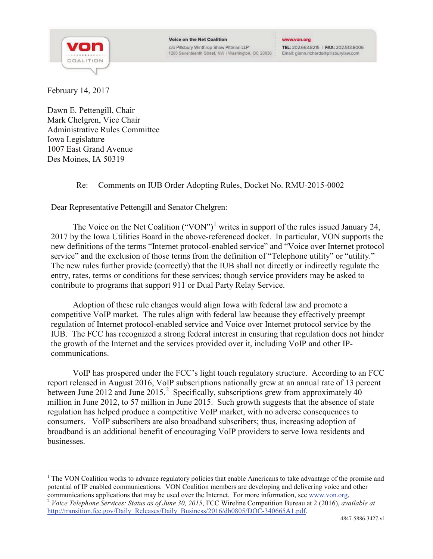

## www.von.org

TEL: 202.663.8215 | FAX: 202.513.8006 Email: glenn.richards@pillsburylaw.com

February 14, 2017

Dawn E. Pettengill, Chair Mark Chelgren, Vice Chair Administrative Rules Committee Iowa Legislature 1007 East Grand Avenue Des Moines, IA 50319

## Re: Comments on IUB Order Adopting Rules, Docket No. RMU-2015-0002

Dear Representative Pettengill and Senator Chelgren:

The Voice on the Net Coalition ("VON")<sup>1</sup> writes in support of the rules issued January 24, 2017 by the Iowa Utilities Board in the above-referenced docket. In particular, VON supports the new definitions of the terms "Internet protocol-enabled service" and "Voice over Internet protocol service" and the exclusion of those terms from the definition of "Telephone utility" or "utility." The new rules further provide (correctly) that the IUB shall not directly or indirectly regulate the entry, rates, terms or conditions for these services; though service providers may be asked to contribute to programs that support 911 or Dual Party Relay Service.

Adoption of these rule changes would align Iowa with federal law and promote a competitive VoIP market. The rules align with federal law because they effectively preempt regulation of Internet protocol-enabled service and Voice over Internet protocol service by the IUB. The FCC has recognized a strong federal interest in ensuring that regulation does not hinder the growth of the Internet and the services provided over it, including VoIP and other IPcommunications.

VoIP has prospered under the FCC's light touch regulatory structure. According to an FCC report released in August 2016, VoIP subscriptions nationally grew at an annual rate of 13 percent between June 2012 and June 2015.<sup>2</sup> Specifically, subscriptions grew from approximately  $\overline{40}$ million in June 2012, to 57 million in June 2015. Such growth suggests that the absence of state regulation has helped produce a competitive VoIP market, with no adverse consequences to consumers. VoIP subscribers are also broadband subscribers; thus, increasing adoption of broadband is an additional benefit of encouraging VoIP providers to serve Iowa residents and businesses.

 $<sup>1</sup>$  The VON Coalition works to advance regulatory policies that enable Americans to take advantage of the promise and</sup> potential of IP enabled communications. VON Coalition members are developing and delivering voice and other communications applications that may be used over the Internet. For more information, see www.von.org.

<sup>&</sup>lt;sup>2</sup> Voice Telephone Services: Status as of June 30, 2015, FCC Wireline Competition Bureau at 2 (2016), available at http://transition.fcc.gov/Daily\_Releases/Daily\_Business/2016/db0805/DOC-340665A1.pdf.